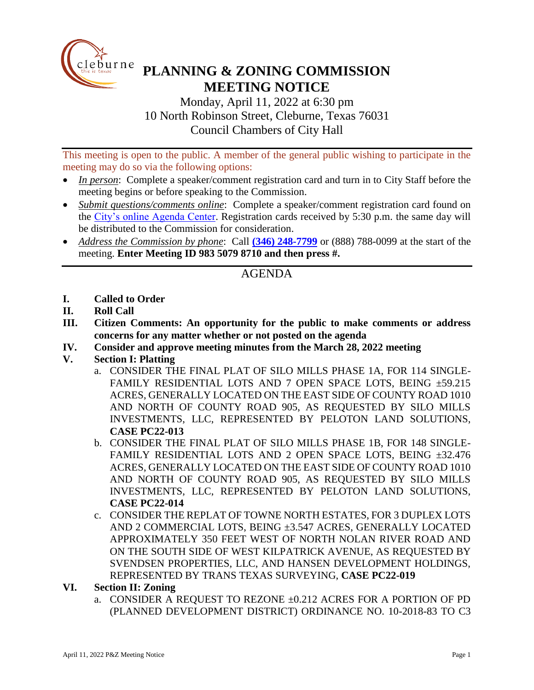

# **PLANNING & ZONING COMMISSION MEETING NOTICE**

Monday, April 11, 2022 at 6:30 pm 10 North Robinson Street, Cleburne, Texas 76031 Council Chambers of City Hall

This meeting is open to the public. A member of the general public wishing to participate in the meeting may do so via the following options:

- *In person*: Complete a speaker/comment registration card and turn in to City Staff before the meeting begins or before speaking to the Commission.
- *Submit questions/comments online*: Complete a speaker/comment registration card found on the [City's online Agenda Center.](https://www.cleburne.net/agendacenter) Registration cards received by 5:30 p.m. the same day will be distributed to the Commission for consideration.
- *Address the Commission by phone*: Call **(346) [248-7799](tel:+13127573117,,477307821)** or (888) 788-0099 at the start of the meeting. **Enter Meeting ID 983 5079 8710 and then press #.**

## AGENDA

- **I. Called to Order**
- **II. Roll Call**
- **III. Citizen Comments: An opportunity for the public to make comments or address concerns for any matter whether or not posted on the agenda**
- **IV. Consider and approve meeting minutes from the March 28, 2022 meeting**
- **V. Section I: Platting**
	- a. CONSIDER THE FINAL PLAT OF SILO MILLS PHASE 1A, FOR 114 SINGLE-FAMILY RESIDENTIAL LOTS AND 7 OPEN SPACE LOTS, BEING ±59.215 ACRES, GENERALLY LOCATED ON THE EAST SIDE OF COUNTY ROAD 1010 AND NORTH OF COUNTY ROAD 905, AS REQUESTED BY SILO MILLS INVESTMENTS, LLC, REPRESENTED BY PELOTON LAND SOLUTIONS, **CASE PC22-013**
	- b. CONSIDER THE FINAL PLAT OF SILO MILLS PHASE 1B, FOR 148 SINGLE-FAMILY RESIDENTIAL LOTS AND 2 OPEN SPACE LOTS, BEING ±32.476 ACRES, GENERALLY LOCATED ON THE EAST SIDE OF COUNTY ROAD 1010 AND NORTH OF COUNTY ROAD 905, AS REQUESTED BY SILO MILLS INVESTMENTS, LLC, REPRESENTED BY PELOTON LAND SOLUTIONS, **CASE PC22-014**
	- c. CONSIDER THE REPLAT OF TOWNE NORTH ESTATES, FOR 3 DUPLEX LOTS AND 2 COMMERCIAL LOTS, BEING ±3.547 ACRES, GENERALLY LOCATED APPROXIMATELY 350 FEET WEST OF NORTH NOLAN RIVER ROAD AND ON THE SOUTH SIDE OF WEST KILPATRICK AVENUE, AS REQUESTED BY SVENDSEN PROPERTIES, LLC, AND HANSEN DEVELOPMENT HOLDINGS, REPRESENTED BY TRANS TEXAS SURVEYING, **CASE PC22-019**

#### **VI. Section II: Zoning**

a. CONSIDER A REQUEST TO REZONE ±0.212 ACRES FOR A PORTION OF PD (PLANNED DEVELOPMENT DISTRICT) ORDINANCE NO. 10-2018-83 TO C3